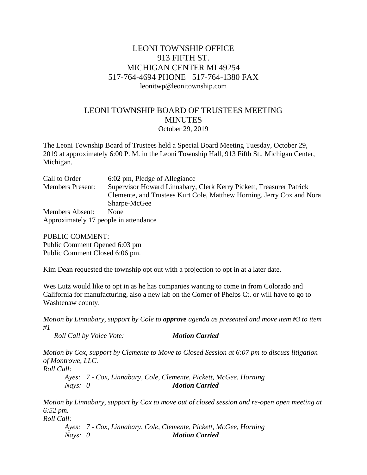## LEONI TOWNSHIP OFFICE 913 FIFTH ST. MICHIGAN CENTER MI 49254 517-764-4694 PHONE 517-764-1380 FAX leonitwp@leonitownship.com

## LEONI TOWNSHIP BOARD OF TRUSTEES MEETING **MINUTES** October 29, 2019

The Leoni Township Board of Trustees held a Special Board Meeting Tuesday, October 29, 2019 at approximately 6:00 P. M. in the Leoni Township Hall, 913 Fifth St., Michigan Center, Michigan.

| Call to Order                         | 6:02 pm, Pledge of Allegiance                                         |
|---------------------------------------|-----------------------------------------------------------------------|
| <b>Members Present:</b>               | Supervisor Howard Linnabary, Clerk Kerry Pickett, Treasurer Patrick   |
|                                       | Clemente, and Trustees Kurt Cole, Matthew Horning, Jerry Cox and Nora |
|                                       | Sharpe-McGee                                                          |
| <b>Members Absent:</b>                | <b>None</b>                                                           |
| Approximately 17 people in attendance |                                                                       |

PUBLIC COMMENT: Public Comment Opened 6:03 pm Public Comment Closed 6:06 pm.

Kim Dean requested the township opt out with a projection to opt in at a later date.

Wes Lutz would like to opt in as he has companies wanting to come in from Colorado and California for manufacturing, also a new lab on the Corner of Phelps Ct. or will have to go to Washtenaw county.

*Motion by Linnabary, support by Cole to approve agenda as presented and move item #3 to item #1*

*Roll Call by Voice Vote: Motion Carried*

*Motion by Cox, support by Clemente to Move to Closed Session at 6:07 pm to discuss litigation of Montrowe, LLC.*

*Roll Call:*

*Ayes: 7 - Cox, Linnabary, Cole, Clemente, Pickett, McGee, Horning Nays: 0 Motion Carried*

*Motion by Linnabary, support by Cox to move out of closed session and re-open open meeting at 6:52 pm.*

*Roll Call:*

*Ayes: 7 - Cox, Linnabary, Cole, Clemente, Pickett, McGee, Horning Nays: 0 Motion Carried*